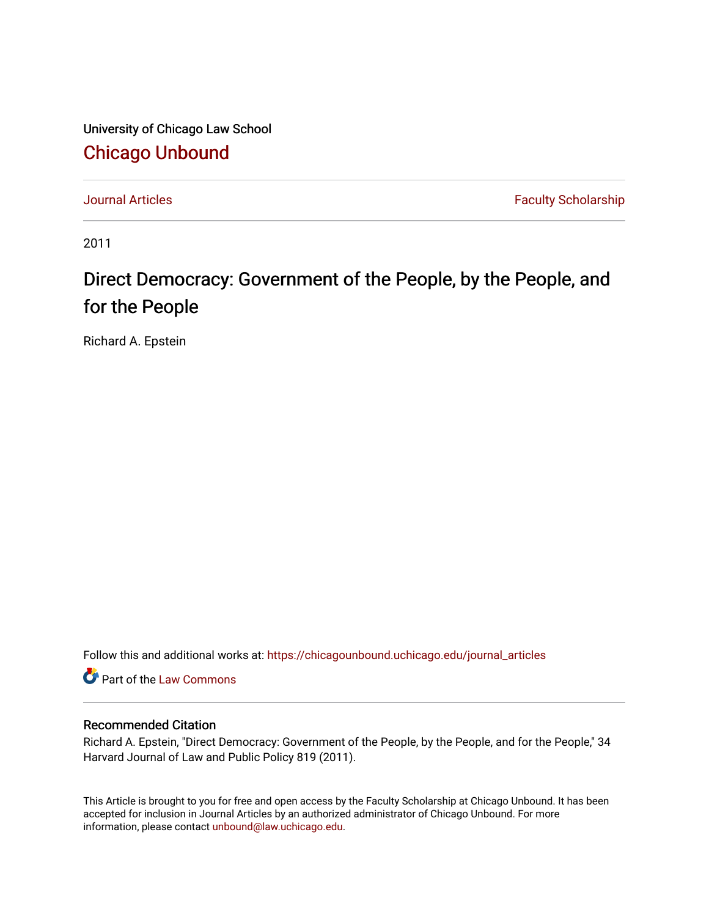University of Chicago Law School [Chicago Unbound](https://chicagounbound.uchicago.edu/)

[Journal Articles](https://chicagounbound.uchicago.edu/journal_articles) **Faculty Scholarship Journal Articles** 

2011

# Direct Democracy: Government of the People, by the People, and for the People

Richard A. Epstein

Follow this and additional works at: [https://chicagounbound.uchicago.edu/journal\\_articles](https://chicagounbound.uchicago.edu/journal_articles?utm_source=chicagounbound.uchicago.edu%2Fjournal_articles%2F1261&utm_medium=PDF&utm_campaign=PDFCoverPages) 

Part of the [Law Commons](http://network.bepress.com/hgg/discipline/578?utm_source=chicagounbound.uchicago.edu%2Fjournal_articles%2F1261&utm_medium=PDF&utm_campaign=PDFCoverPages)

## Recommended Citation

Richard A. Epstein, "Direct Democracy: Government of the People, by the People, and for the People," 34 Harvard Journal of Law and Public Policy 819 (2011).

This Article is brought to you for free and open access by the Faculty Scholarship at Chicago Unbound. It has been accepted for inclusion in Journal Articles by an authorized administrator of Chicago Unbound. For more information, please contact [unbound@law.uchicago.edu](mailto:unbound@law.uchicago.edu).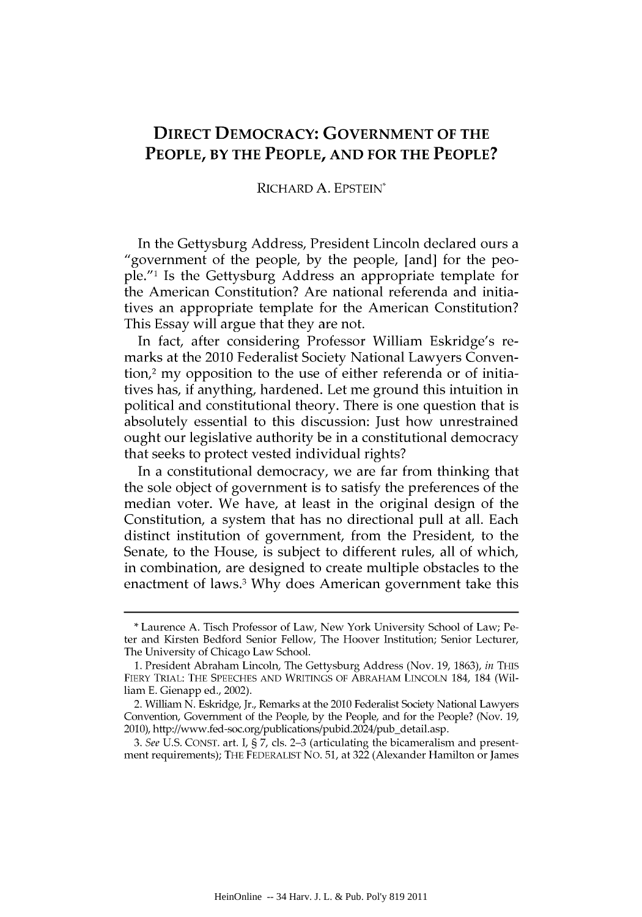# **DIRECT DEMOCRACY: GOVERNMENT OF THE PEOPLE, BY THE PEOPLE, AND FOR THE PEOPLE?**

### RICHARD A. EPSTEIN\*

In the Gettysburg Address, President Lincoln declared ours a "government of the people, by the people, [and] for the people."' Is the Gettysburg Address an appropriate template for the American Constitution? Are national referenda and initiatives an appropriate template for the American Constitution? This Essay will argue that they are not.

In fact, after considering Professor William Eskridge's remarks at the 2010 Federalist Society National Lawyers Convention,2 my opposition to the use of either referenda or of initiatives has, if anything, hardened. Let me ground this intuition in political and constitutional theory. There is one question that is absolutely essential to this discussion: Just how unrestrained ought our legislative authority be in a constitutional democracy that seeks to protect vested individual rights?

In a constitutional democracy, we are far from thinking that the sole object of government is to satisfy the preferences of the median voter. We have, at least in the original design of the Constitution, a system that has no directional pull at all. Each distinct institution of government, from the President, to the Senate, to the House, is subject to different rules, all of which, in combination, are designed to create multiple obstacles to the enactment of laws.<sup>3</sup> Why does American government take this

<sup>\*</sup> Laurence A. Tisch Professor of Law, New York University School of Law; Peter and Kirsten Bedford Senior Fellow, The Hoover Institution; Senior Lecturer, The University of Chicago Law School.

<sup>1.</sup> President Abraham Lincoln, The Gettysburg Address (Nov. 19, 1863), *in* THIs FIERY TRIAL: THE SPEECHES AND WRITINGS OF ABRAHAM LINCOLN 184, 184 (William E. Gienapp ed., 2002).

<sup>2.</sup> William N. Eskridge, Jr., Remarks at the 2010 Federalist Society National Lawyers Convention, Government of the People, by the People, and for the People? (Nov. 19, 2010), http://www.fed-soc.org/publications/pubid.2024/pub-detail.asp.

*<sup>3.</sup> See* U.S. CONST. art. I, **§** 7, cls. **2-3** (articulating the bicameralism and presentment requirements); THE **FEDERALIST** NO. 51, at 322 (Alexander Hamilton or James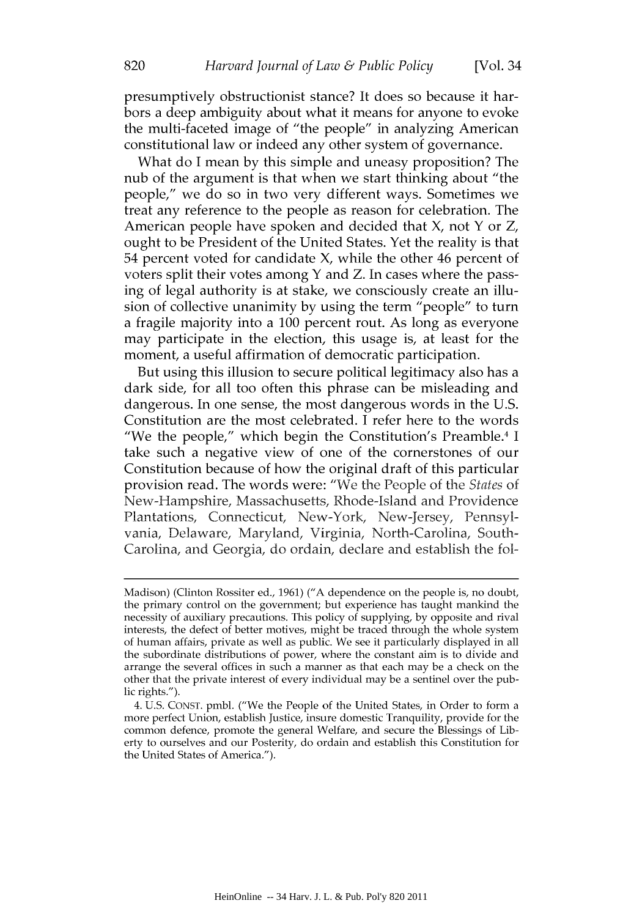presumptively obstructionist stance? It does so because it harbors a deep ambiguity about what it means for anyone to evoke the multi-faceted image of "the people" in analyzing American constitutional law or indeed any other system of governance.

What do I mean by this simple and uneasy proposition? The nub of the argument is that when we start thinking about "the people," we do so in two very different ways. Sometimes we treat any reference to the people as reason for celebration. The American people have spoken and decided that X, not Y or Z, ought to be President of the United States. Yet the reality is that 54 percent voted for candidate X, while the other 46 percent of voters split their votes among Y and Z. In cases where the passing of legal authority is at stake, we consciously create an illusion of collective unanimity by using the term "people" to turn a fragile majority into a 100 percent rout. As long as everyone may participate in the election, this usage is, at least for the moment, a useful affirmation of democratic participation.

But using this illusion to secure political legitimacy also has a dark side, for all too often this phrase can be misleading and dangerous. In one sense, the most dangerous words in the U.S. Constitution are the most celebrated. I refer here to the words "We the people," which begin the Constitution's Preamble.4 I take such a negative view of one of the cornerstones of our Constitution because of how the original draft of this particular provision read. The words were: "We the People of the *States* of New-Hampshire, Massachusetts, Rhode-Island and Providence Plantations, Connecticut, New-York, New-Jersey, Pennsylvania, Delaware, Maryland, Virginia, North-Carolina, South-Carolina, and Georgia, do ordain, declare and establish the fol-

Madison) (Clinton Rossiter ed., 1961) ("A dependence on the people is, no doubt, the primary control on the government; but experience has taught mankind the necessity of auxiliary precautions. This policy of supplying, by opposite and rival interests, the defect of better motives, might be traced through the whole system of human affairs, private as well as public. We see it particularly displayed in all the subordinate distributions of power, where the constant aim is to divide and arrange the several offices in such a manner as that each may be a check on the other that the private interest of every individual may be a sentinel over the public rights.").

<sup>4.</sup> U.S. CONST. pmbl. ("We the People of the United States, in Order to form a more perfect Union, establish Justice, insure domestic Tranquility, provide for the common defence, promote the general Welfare, and secure the Blessings of Liberty to ourselves and our Posterity, do ordain and establish this Constitution for the United States of America.").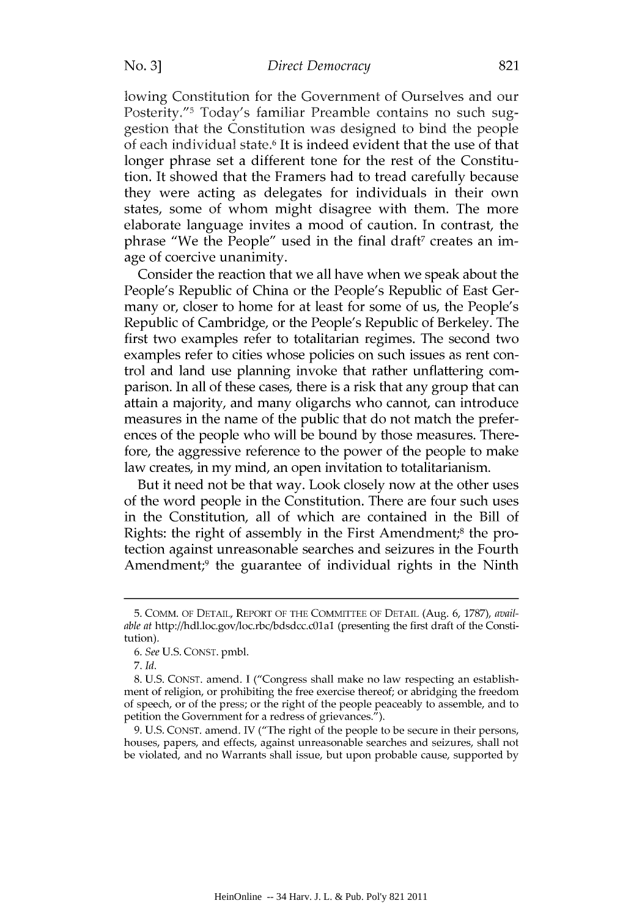#### *Direct Democracy*

lowing Constitution for the Government of Ourselves and our Posterity."<sup>5</sup> Today's familiar Preamble contains no such suggestion that the Constitution was designed to bind the people of each individual state.6 It is indeed evident that the use of that longer phrase set a different tone for the rest of the Constitution. It showed that the Framers had to tread carefully because they were acting as delegates for individuals in their own states, some of whom might disagree with them. The more elaborate language invites a mood of caution. In contrast, the phrase "We the People" used in the final draft<sup>7</sup> creates an image of coercive unanimity.

Consider the reaction that we all have when we speak about the People's Republic of China or the People's Republic of East Germany or, closer to home for at least for some of us, the People's Republic of Cambridge, or the People's Republic of Berkeley. The first two examples refer to totalitarian regimes. The second two examples refer to cities whose policies on such issues as rent control and land use planning invoke that rather unflattering comparison. In all of these cases, there is a risk that any group that can attain a majority, and many oligarchs who cannot, can introduce measures in the name of the public that do not match the preferences of the people who will be bound by those measures. Therefore, the aggressive reference to the power of the people to make law creates, in my mind, an open invitation to totalitarianism.

But it need not be that way. Look closely now at the other uses of the word people in the Constitution. There are four such uses in the Constitution, all of which are contained in the Bill of Rights: the right of assembly in the First Amendment;<sup>8</sup> the protection against unreasonable searches and seizures in the Fourth Amendment;<sup>9</sup> the guarantee of individual rights in the Ninth

<sup>5.</sup> COMM. OF DETAIL, REPORT OF THE COMMITTEE OF DETAIL (Aug. 6, 1787), *available at* http://hdl.loc.gov/loc.rbc/bdsdcc.c1al (presenting the first draft of the Constitution).

*<sup>6.</sup> See* U.S. CONST. pmbl.

<sup>7.</sup> *Id.*

<sup>8.</sup> U.S. CONST. amend. I ("Congress shall make no law respecting an establishment of religion, or prohibiting the free exercise thereof; or abridging the freedom of speech, or of the press; or the right of the people peaceably to assemble, and to petition the Government for a redress of grievances.").

<sup>9.</sup> U.S. CONST. amend. IV ("The right of the people to be secure in their persons, houses, papers, and effects, against unreasonable searches and seizures, shall not be violated, and no Warrants shall issue, but upon probable cause, supported by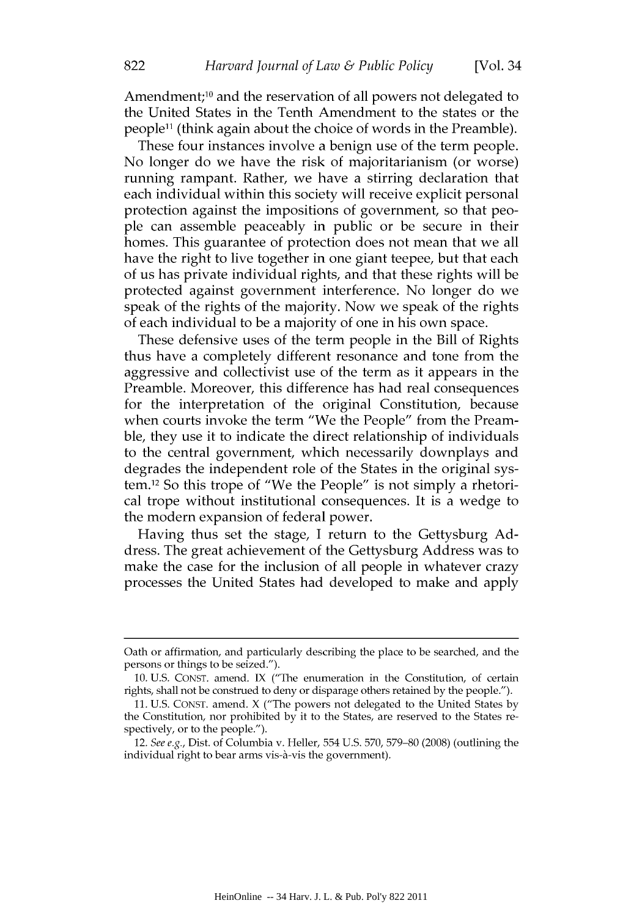[Vol. 34

Amendment;<sup>10</sup> and the reservation of all powers not delegated to the United States in the Tenth Amendment to the states or the people<sup>11</sup> (think again about the choice of words in the Preamble).

These four instances involve a benign use of the term people. No longer do we have the risk of majoritarianism (or worse) running rampant. Rather, we have a stirring declaration that each individual within this society will receive explicit personal protection against the impositions of government, so that people can assemble peaceably in public or be secure in their homes. This guarantee of protection does not mean that we all have the right to live together in one giant teepee, but that each of us has private individual rights, and that these rights will be protected against government interference. No longer do we speak of the rights of the majority. Now we speak of the rights of each individual to be a majority of one in his own space.

These defensive uses of the term people in the Bill of Rights thus have a completely different resonance and tone from the aggressive and collectivist use of the term as it appears in the Preamble. Moreover, this difference has had real consequences for the interpretation of the original Constitution, because when courts invoke the term "We the People" from the Preamble, they use it to indicate the direct relationship of individuals to the central government, which necessarily downplays and degrades the independent role of the States in the original system.12 So this trope of "We the People" is not simply a rhetorical trope without institutional consequences. It is a wedge to the modern expansion of federal power.

Having thus set the stage, I return to the Gettysburg Address. The great achievement of the Gettysburg Address was to make the case for the inclusion of all people in whatever crazy processes the United States had developed to make and apply

Oath or affirmation, and particularly describing the place to be searched, and the persons or things to be seized.").

<sup>10.</sup> U.S. CONST. amend. IX ("The enumeration in the Constitution, of certain rights, shall not be construed to deny or disparage others retained by the people.").

<sup>11.</sup> U.S. CONST. amend. X ("The powers not delegated to the United States by the Constitution, nor prohibited by it to the States, are reserved to the States respectively, or to the people.").

<sup>12.</sup> See e.g., Dist. of Columbia v. Heller, 554 U.S. 570, 579-80 (2008) (outlining the individual right to bear arms vis-à-vis the government).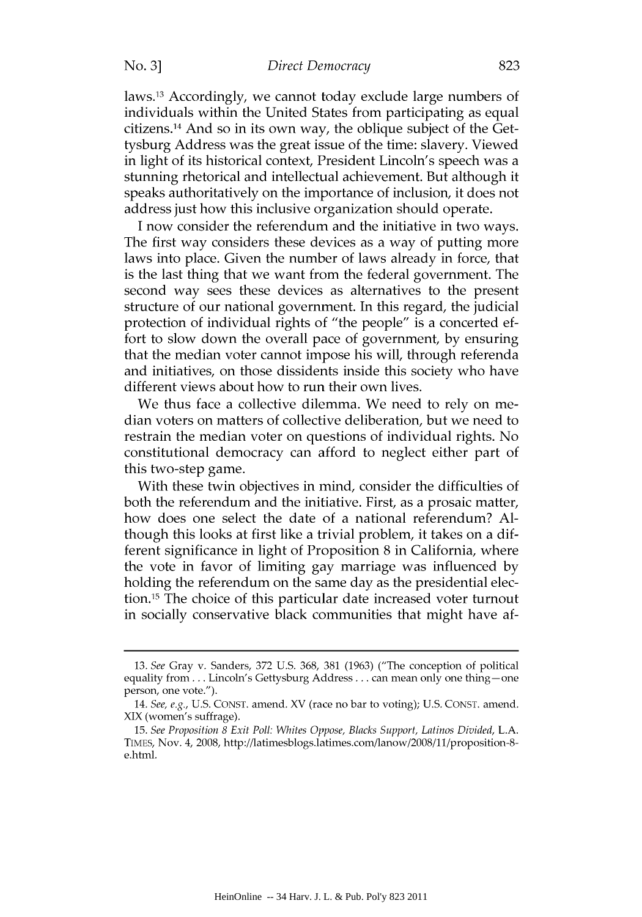#### *Direct Democracy*

No. **3]**

laws.13 Accordingly, we cannot today exclude large numbers of individuals within the United States from participating as equal citizens. 14 And so in its own way, the oblique subject of the Gettysburg Address was the great issue of the time: slavery. Viewed in light of its historical context, President Lincoln's speech was a stunning rhetorical and intellectual achievement. But although it speaks authoritatively on the importance of inclusion, it does not address just how this inclusive organization should operate.

I now consider the referendum and the initiative in two ways. The first way considers these devices as a way of putting more laws into place. Given the number of laws already in force, that is the last thing that we want from the federal government. The second way sees these devices as alternatives to the present structure of our national government. In this regard, the judicial protection of individual rights of "the people" is a concerted effort to slow down the overall pace of government, by ensuring that the median voter cannot impose his will, through referenda and initiatives, on those dissidents inside this society who have different views about how to run their own lives.

We thus face a collective dilemma. We need to rely on median voters on matters of collective deliberation, but we need to restrain the median voter on questions of individual rights. No constitutional democracy can afford to neglect either part of this two-step game.

With these twin objectives in mind, consider the difficulties of both the referendum and the initiative. First, as a prosaic matter, how does one select the date of a national referendum? Although this looks at first like a trivial problem, it takes on a different significance in light of Proposition 8 in California, where the vote in favor of limiting gay marriage was influenced by holding the referendum on the same day as the presidential election.<sup>15</sup> The choice of this particular date increased voter turnout in socially conservative black communities that might have af-

<sup>13.</sup> *See* Gray v. Sanders, 372 U.S. 368, 381 (1963) ("The conception of political equality from... Lincoln's Gettysburg Address... can mean only one thing  $-\text{one}$ person, one vote.").

<sup>14.</sup> *See, e.g.,* U.S. CONST. amend. XV (race no bar to voting); U.S. CONST. amend. XIX (women's suffrage).

<sup>15.</sup> *See Proposition 8 Exit Poll: Whites Oppose, Blacks Support, Latinos Divided,* L.A. TIMES, Nov. 4, 2008, http://latimesblogs.latimes.com/lanow/2008/11/proposition-8 e.html.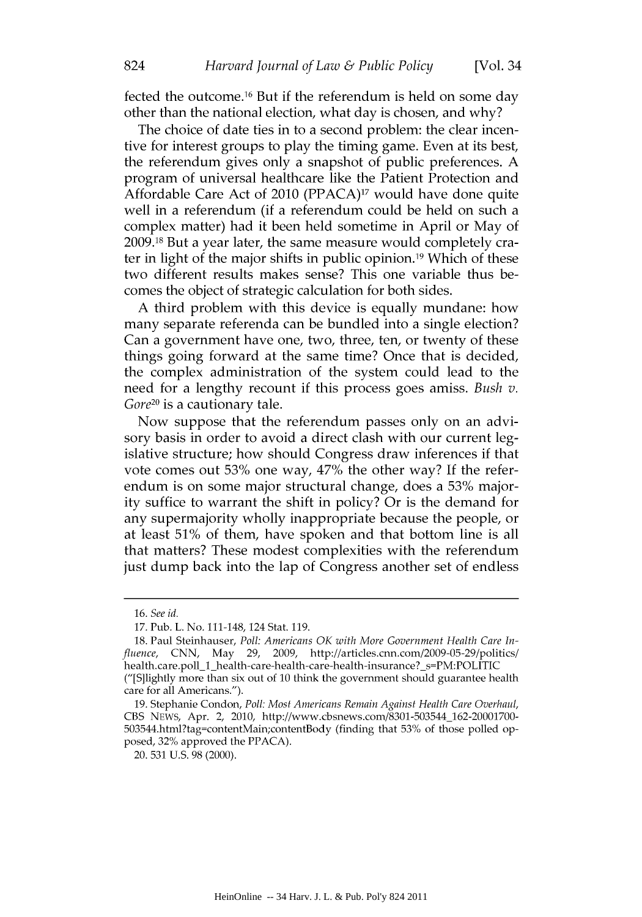[Vol. 34

fected the outcome. 16 But if the referendum is held on some day other than the national election, what day is chosen, and why?

The choice of date ties in to a second problem: the clear incentive for interest groups to play the timing game. Even at its best, the referendum gives only a snapshot of public preferences. A program of universal healthcare like the Patient Protection and Affordable Care Act of 2010 (PPACA)17 would have done quite well in a referendum (if a referendum could be held on such a complex matter) had it been held sometime in April or May of 2009.18 But a year later, the same measure would completely crater in light of the major shifts in public opinion.19 Which of these two different results makes sense? This one variable thus becomes the object of strategic calculation for both sides.

A third problem with this device is equally mundane: how many separate referenda can be bundled into a single election? Can a government have one, two, three, ten, or twenty of these things going forward at the same time? Once that is decided, the complex administration of the system could lead to the need for a lengthy recount if this process goes amiss. *Bush v. Gore20* is a cautionary tale.

Now suppose that the referendum passes only on an advisory basis in order to avoid a direct clash with our current legislative structure; how should Congress draw inferences if that vote comes out **53%** one way, 47% the other way? If the referendum is on some major structural change, does a **53%** majority suffice to warrant the shift in policy? Or is the demand for any supermajority wholly inappropriate because the people, or at least 51% of them, have spoken and that bottom line is all that matters? These modest complexities with the referendum just dump back into the lap of Congress another set of endless

20. 531 U.S. 98 (2000).

824

<sup>16.</sup> *See id.*

<sup>17.</sup> Pub. L. No. 111-148, 124 Stat. 119.

<sup>18.</sup> Paul Steinhauser, *Poll: Americans OK with More Government Health Care* In*fluence,* CNN, May 29, 2009, http://articles.cnn.com/2009-05-29/politics/ health.care.poll\_1\_health-care-health-care-health-insurance?\_s=PM:POLITIC ("[S]lightly more than six out of 10 think the government should guarantee health care for all Americans.").

<sup>19.</sup> Stephanie Condon, *Poll: Most Americans Remain Against Health Care Overhaul,* CBS NEWS, Apr. 2, 2010, http://www.cbsnews.com/8301-503544\_162-20001700- 503544.html?tag=contentMain;contentBody (finding that **53%** of those polled opposed, **32%** approved the PPACA).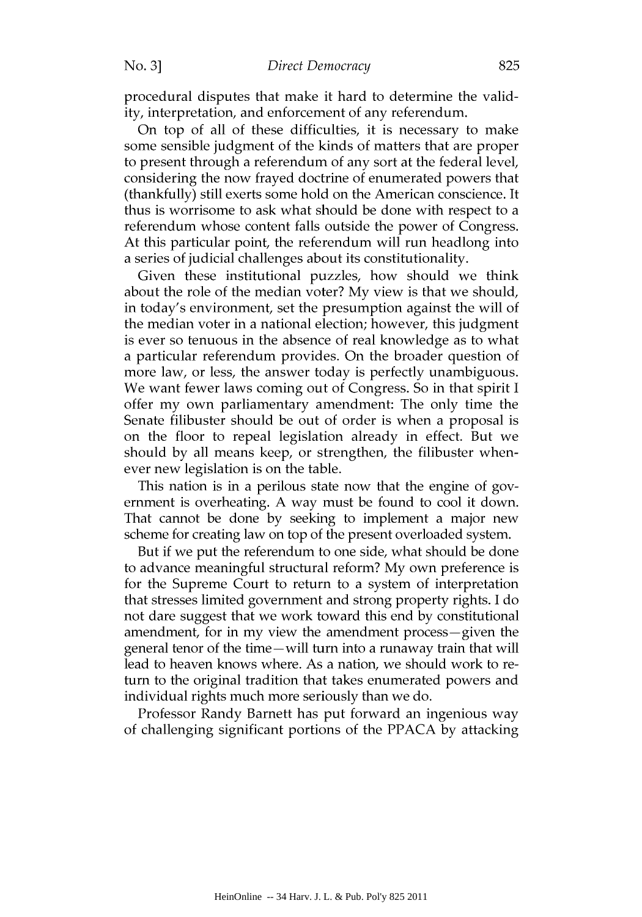procedural disputes that make it hard to determine the validity, interpretation, and enforcement of any referendum.

On top of all of these difficulties, it is necessary to make some sensible judgment of the kinds of matters that are proper to present through a referendum of any sort at the federal level, considering the now frayed doctrine of enumerated powers that (thankfully) still exerts some hold on the American conscience. It thus is worrisome to ask what should be done with respect to a referendum whose content falls outside the power of Congress. At this particular point, the referendum will run headlong into a series of judicial challenges about its constitutionality.

Given these institutional puzzles, how should we think about the role of the median voter? My view is that we should, in today's environment, set the presumption against the will of the median voter in a national election; however, this judgment is ever so tenuous in the absence of real knowledge as to what a particular referendum provides. On the broader question of more law, or less, the answer today is perfectly unambiguous. We want fewer laws coming out of Congress. So in that spirit I offer my own parliamentary amendment: The only time the Senate filibuster should be out of order is when a proposal is on the floor to repeal legislation already in effect. But we should by all means keep, or strengthen, the filibuster whenever new legislation is on the table.

This nation is in a perilous state now that the engine of government is overheating. A way must be found to cool it down. That cannot be done by seeking to implement a major new scheme for creating law on top of the present overloaded system.

But if we put the referendum to one side, what should be done to advance meaningful structural reform? My own preference is for the Supreme Court to return to a system of interpretation that stresses limited government and strong property rights. I do not dare suggest that we work toward this end by constitutional amendment, for in my view the amendment process-given the general tenor of the time—will turn into a runaway train that will lead to heaven knows where. As a nation, we should work to return to the original tradition that takes enumerated powers and individual rights much more seriously than we do.

Professor Randy Barnett has put forward an ingenious way of challenging significant portions of the PPACA by attacking